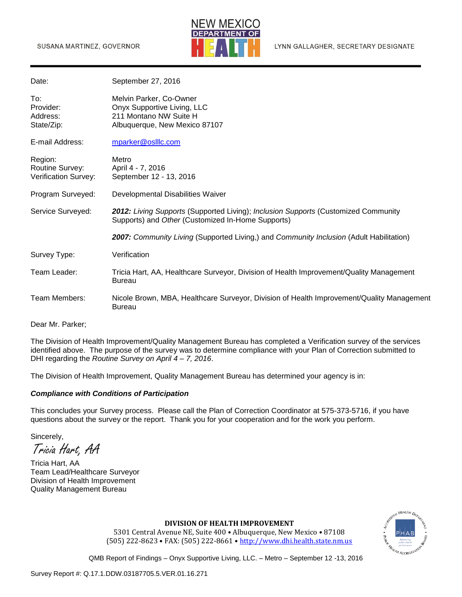

| Date:                                                     | September 27, 2016                                                                                                                      |
|-----------------------------------------------------------|-----------------------------------------------------------------------------------------------------------------------------------------|
| To:<br>Provider:<br>Address:<br>State/Zip:                | Melvin Parker, Co-Owner<br>Onyx Supportive Living, LLC<br>211 Montano NW Suite H<br>Albuquerque, New Mexico 87107                       |
| E-mail Address:                                           | mparker@oslllc.com                                                                                                                      |
| Region:<br>Routine Survey:<br><b>Verification Survey:</b> | Metro<br>April 4 - 7, 2016<br>September 12 - 13, 2016                                                                                   |
| Program Surveyed:                                         | Developmental Disabilities Waiver                                                                                                       |
| Service Surveyed:                                         | 2012: Living Supports (Supported Living); Inclusion Supports (Customized Community<br>Supports) and Other (Customized In-Home Supports) |
|                                                           | 2007: Community Living (Supported Living,) and Community Inclusion (Adult Habilitation)                                                 |
| Survey Type:                                              | Verification                                                                                                                            |
| Team Leader:                                              | Tricia Hart, AA, Healthcare Surveyor, Division of Health Improvement/Quality Management<br><b>Bureau</b>                                |
| Team Members:                                             | Nicole Brown, MBA, Healthcare Surveyor, Division of Health Improvement/Quality Management<br><b>Bureau</b>                              |
| Dear Mr. Parker;                                          |                                                                                                                                         |

The Division of Health Improvement/Quality Management Bureau has completed a Verification survey of the services identified above. The purpose of the survey was to determine compliance with your Plan of Correction submitted to DHI regarding the *Routine Survey on April 4 – 7, 2016*.

The Division of Health Improvement, Quality Management Bureau has determined your agency is in:

#### *Compliance with Conditions of Participation*

This concludes your Survey process. Please call the Plan of Correction Coordinator at 575-373-5716, if you have questions about the survey or the report. Thank you for your cooperation and for the work you perform.

Sincerely,

Tricia Hart, AA

Tricia Hart, AA Team Lead/Healthcare Surveyor Division of Health Improvement Quality Management Bureau



#### **DIVISION OF HEALTH IMPROVEMENT**

5301 Central Avenue NE, Suite 400 • Albuquerque, New Mexico • 87108 (505) 222-8623 • FAX: (505) 222-8661 • [http://www.dhi.health.state.nm.us](http://www.dhi.health.state.nm.us/)

QMB Report of Findings – Onyx Supportive Living, LLC. – Metro – September 12 -13, 2016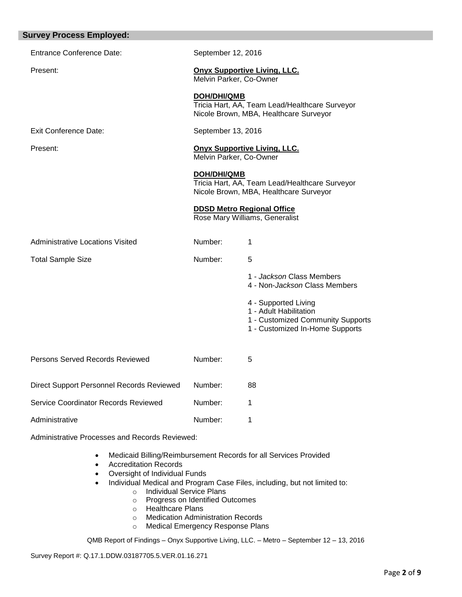| <b>Survey Process Employed:</b>                |                                                                     |                                                                                                                        |  |  |
|------------------------------------------------|---------------------------------------------------------------------|------------------------------------------------------------------------------------------------------------------------|--|--|
| <b>Entrance Conference Date:</b>               | September 12, 2016                                                  |                                                                                                                        |  |  |
| Present:                                       | <b>Onyx Supportive Living, LLC.</b><br>Melvin Parker, Co-Owner      |                                                                                                                        |  |  |
|                                                | <b>DOH/DHI/QMB</b>                                                  | Tricia Hart, AA, Team Lead/Healthcare Surveyor<br>Nicole Brown, MBA, Healthcare Surveyor                               |  |  |
| <b>Exit Conference Date:</b>                   | September 13, 2016                                                  |                                                                                                                        |  |  |
| Present:                                       | <b>Onyx Supportive Living, LLC.</b><br>Melvin Parker, Co-Owner      |                                                                                                                        |  |  |
|                                                | <b>DOH/DHI/QMB</b>                                                  | Tricia Hart, AA, Team Lead/Healthcare Surveyor<br>Nicole Brown, MBA, Healthcare Surveyor                               |  |  |
|                                                | <b>DDSD Metro Regional Office</b><br>Rose Mary Williams, Generalist |                                                                                                                        |  |  |
| <b>Administrative Locations Visited</b>        | Number:                                                             | 1                                                                                                                      |  |  |
| <b>Total Sample Size</b>                       | Number:                                                             | 5                                                                                                                      |  |  |
|                                                |                                                                     | 1 - Jackson Class Members<br>4 - Non-Jackson Class Members                                                             |  |  |
|                                                |                                                                     | 4 - Supported Living<br>1 - Adult Habilitation<br>1 - Customized Community Supports<br>1 - Customized In-Home Supports |  |  |
| Persons Served Records Reviewed                | Number:                                                             | 5                                                                                                                      |  |  |
| Direct Support Personnel Records Reviewed      | Number:                                                             | 88                                                                                                                     |  |  |
| Service Coordinator Records Reviewed           | Number:                                                             | 1                                                                                                                      |  |  |
| Administrative                                 | Number:                                                             | 1                                                                                                                      |  |  |
| Administrative Processes and Records Reviewed: |                                                                     |                                                                                                                        |  |  |

- Medicaid Billing/Reimbursement Records for all Services Provided
- Accreditation Records
- Oversight of Individual Funds
- Individual Medical and Program Case Files, including, but not limited to:
	- o Individual Service Plans
		- o Progress on Identified Outcomes
		- o Healthcare Plans
		- o Medication Administration Records
		- o Medical Emergency Response Plans

QMB Report of Findings – Onyx Supportive Living, LLC. – Metro – September 12 – 13, 2016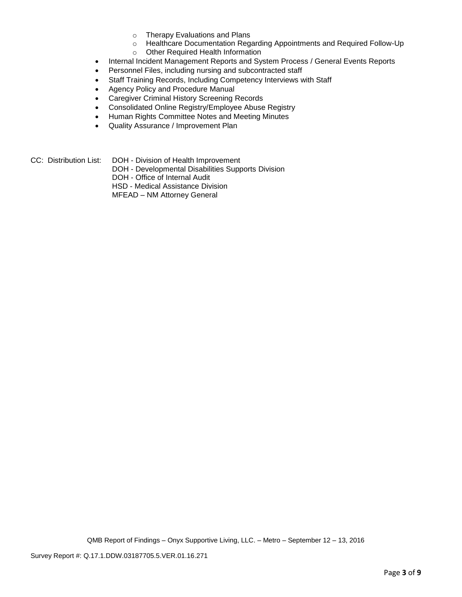- o Therapy Evaluations and Plans
- o Healthcare Documentation Regarding Appointments and Required Follow-Up o Other Required Health Information
- 
- Internal Incident Management Reports and System Process / General Events Reports
- Personnel Files, including nursing and subcontracted staff
- Staff Training Records, Including Competency Interviews with Staff
- Agency Policy and Procedure Manual
- Caregiver Criminal History Screening Records
- Consolidated Online Registry/Employee Abuse Registry
- Human Rights Committee Notes and Meeting Minutes
- Quality Assurance / Improvement Plan
- CC: Distribution List: DOH Division of Health Improvement
	- DOH Developmental Disabilities Supports Division
	- DOH Office of Internal Audit
	- HSD Medical Assistance Division
	- MFEAD NM Attorney General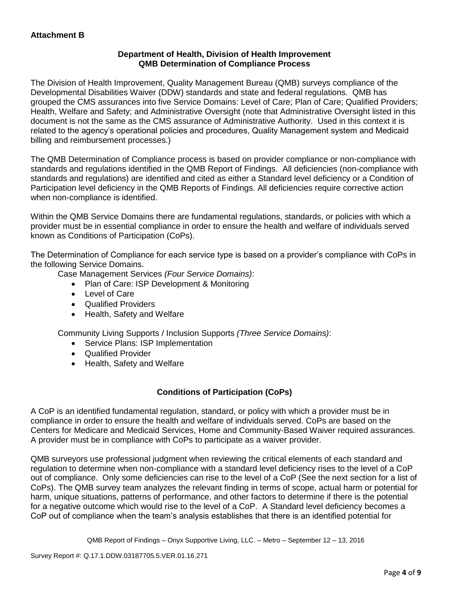# **Department of Health, Division of Health Improvement QMB Determination of Compliance Process**

The Division of Health Improvement, Quality Management Bureau (QMB) surveys compliance of the Developmental Disabilities Waiver (DDW) standards and state and federal regulations. QMB has grouped the CMS assurances into five Service Domains: Level of Care; Plan of Care; Qualified Providers; Health, Welfare and Safety; and Administrative Oversight (note that Administrative Oversight listed in this document is not the same as the CMS assurance of Administrative Authority. Used in this context it is related to the agency's operational policies and procedures, Quality Management system and Medicaid billing and reimbursement processes.)

The QMB Determination of Compliance process is based on provider compliance or non-compliance with standards and regulations identified in the QMB Report of Findings. All deficiencies (non-compliance with standards and regulations) are identified and cited as either a Standard level deficiency or a Condition of Participation level deficiency in the QMB Reports of Findings. All deficiencies require corrective action when non-compliance is identified.

Within the QMB Service Domains there are fundamental regulations, standards, or policies with which a provider must be in essential compliance in order to ensure the health and welfare of individuals served known as Conditions of Participation (CoPs).

The Determination of Compliance for each service type is based on a provider's compliance with CoPs in the following Service Domains.

Case Management Services *(Four Service Domains)*:

- Plan of Care: ISP Development & Monitoring
- Level of Care
- Qualified Providers
- Health, Safety and Welfare

Community Living Supports / Inclusion Supports *(Three Service Domains)*:

- Service Plans: ISP Implementation
- Qualified Provider
- Health, Safety and Welfare

# **Conditions of Participation (CoPs)**

A CoP is an identified fundamental regulation, standard, or policy with which a provider must be in compliance in order to ensure the health and welfare of individuals served. CoPs are based on the Centers for Medicare and Medicaid Services, Home and Community-Based Waiver required assurances. A provider must be in compliance with CoPs to participate as a waiver provider.

QMB surveyors use professional judgment when reviewing the critical elements of each standard and regulation to determine when non-compliance with a standard level deficiency rises to the level of a CoP out of compliance. Only some deficiencies can rise to the level of a CoP (See the next section for a list of CoPs). The QMB survey team analyzes the relevant finding in terms of scope, actual harm or potential for harm, unique situations, patterns of performance, and other factors to determine if there is the potential for a negative outcome which would rise to the level of a CoP. A Standard level deficiency becomes a CoP out of compliance when the team's analysis establishes that there is an identified potential for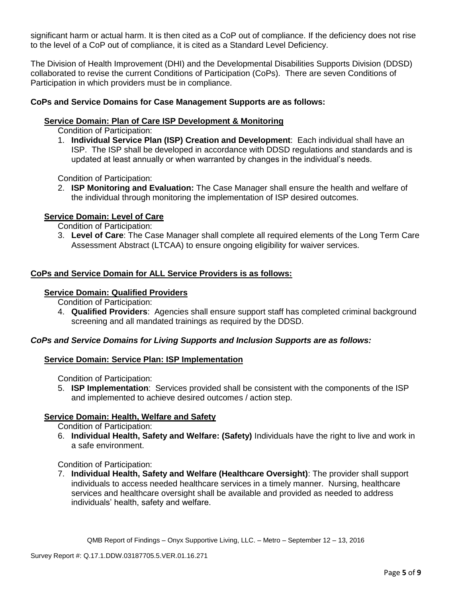significant harm or actual harm. It is then cited as a CoP out of compliance. If the deficiency does not rise to the level of a CoP out of compliance, it is cited as a Standard Level Deficiency.

The Division of Health Improvement (DHI) and the Developmental Disabilities Supports Division (DDSD) collaborated to revise the current Conditions of Participation (CoPs). There are seven Conditions of Participation in which providers must be in compliance.

# **CoPs and Service Domains for Case Management Supports are as follows:**

### **Service Domain: Plan of Care ISP Development & Monitoring**

Condition of Participation:

1. **Individual Service Plan (ISP) Creation and Development**: Each individual shall have an ISP. The ISP shall be developed in accordance with DDSD regulations and standards and is updated at least annually or when warranted by changes in the individual's needs.

Condition of Participation:

2. **ISP Monitoring and Evaluation:** The Case Manager shall ensure the health and welfare of the individual through monitoring the implementation of ISP desired outcomes.

### **Service Domain: Level of Care**

Condition of Participation:

3. **Level of Care**: The Case Manager shall complete all required elements of the Long Term Care Assessment Abstract (LTCAA) to ensure ongoing eligibility for waiver services.

### **CoPs and Service Domain for ALL Service Providers is as follows:**

#### **Service Domain: Qualified Providers**

Condition of Participation:

4. **Qualified Providers**: Agencies shall ensure support staff has completed criminal background screening and all mandated trainings as required by the DDSD.

## *CoPs and Service Domains for Living Supports and Inclusion Supports are as follows:*

### **Service Domain: Service Plan: ISP Implementation**

Condition of Participation:

5. **ISP Implementation**: Services provided shall be consistent with the components of the ISP and implemented to achieve desired outcomes / action step.

### **Service Domain: Health, Welfare and Safety**

Condition of Participation:

6. **Individual Health, Safety and Welfare: (Safety)** Individuals have the right to live and work in a safe environment.

Condition of Participation:

7. **Individual Health, Safety and Welfare (Healthcare Oversight)**: The provider shall support individuals to access needed healthcare services in a timely manner. Nursing, healthcare services and healthcare oversight shall be available and provided as needed to address individuals' health, safety and welfare.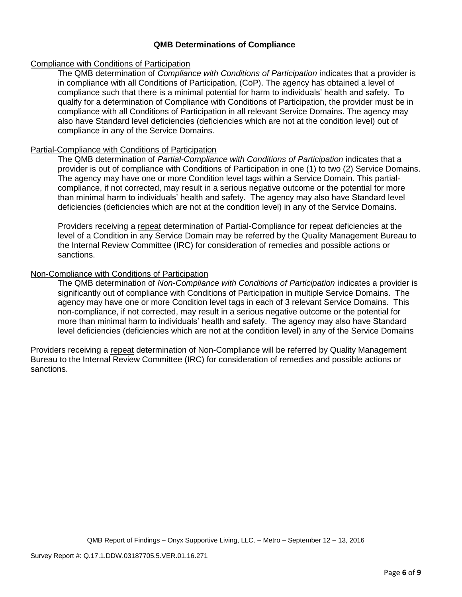# **QMB Determinations of Compliance**

### Compliance with Conditions of Participation

The QMB determination of *Compliance with Conditions of Participation* indicates that a provider is in compliance with all Conditions of Participation, (CoP). The agency has obtained a level of compliance such that there is a minimal potential for harm to individuals' health and safety. To qualify for a determination of Compliance with Conditions of Participation, the provider must be in compliance with all Conditions of Participation in all relevant Service Domains. The agency may also have Standard level deficiencies (deficiencies which are not at the condition level) out of compliance in any of the Service Domains.

## Partial-Compliance with Conditions of Participation

The QMB determination of *Partial-Compliance with Conditions of Participation* indicates that a provider is out of compliance with Conditions of Participation in one (1) to two (2) Service Domains. The agency may have one or more Condition level tags within a Service Domain. This partialcompliance, if not corrected, may result in a serious negative outcome or the potential for more than minimal harm to individuals' health and safety. The agency may also have Standard level deficiencies (deficiencies which are not at the condition level) in any of the Service Domains.

Providers receiving a repeat determination of Partial-Compliance for repeat deficiencies at the level of a Condition in any Service Domain may be referred by the Quality Management Bureau to the Internal Review Committee (IRC) for consideration of remedies and possible actions or sanctions.

## Non-Compliance with Conditions of Participation

The QMB determination of *Non-Compliance with Conditions of Participation* indicates a provider is significantly out of compliance with Conditions of Participation in multiple Service Domains. The agency may have one or more Condition level tags in each of 3 relevant Service Domains. This non-compliance, if not corrected, may result in a serious negative outcome or the potential for more than minimal harm to individuals' health and safety. The agency may also have Standard level deficiencies (deficiencies which are not at the condition level) in any of the Service Domains

Providers receiving a repeat determination of Non-Compliance will be referred by Quality Management Bureau to the Internal Review Committee (IRC) for consideration of remedies and possible actions or sanctions.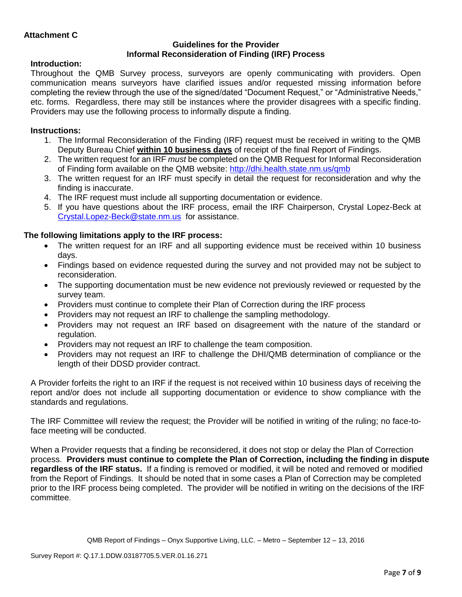## **Guidelines for the Provider Informal Reconsideration of Finding (IRF) Process**

# **Introduction:**

Throughout the QMB Survey process, surveyors are openly communicating with providers. Open communication means surveyors have clarified issues and/or requested missing information before completing the review through the use of the signed/dated "Document Request," or "Administrative Needs," etc. forms. Regardless, there may still be instances where the provider disagrees with a specific finding. Providers may use the following process to informally dispute a finding.

# **Instructions:**

- 1. The Informal Reconsideration of the Finding (IRF) request must be received in writing to the QMB Deputy Bureau Chief **within 10 business days** of receipt of the final Report of Findings.
- 2. The written request for an IRF *must* be completed on the QMB Request for Informal Reconsideration of Finding form available on the QMB website:<http://dhi.health.state.nm.us/qmb>
- 3. The written request for an IRF must specify in detail the request for reconsideration and why the finding is inaccurate.
- 4. The IRF request must include all supporting documentation or evidence.
- 5. If you have questions about the IRF process, email the IRF Chairperson, Crystal Lopez-Beck at [Crystal.Lopez-Beck@state.nm.us](mailto:Crystal.Lopez-Beck@state.nm.us) for assistance.

# **The following limitations apply to the IRF process:**

- The written request for an IRF and all supporting evidence must be received within 10 business days.
- Findings based on evidence requested during the survey and not provided may not be subject to reconsideration.
- The supporting documentation must be new evidence not previously reviewed or requested by the survey team.
- Providers must continue to complete their Plan of Correction during the IRF process
- Providers may not request an IRF to challenge the sampling methodology.
- Providers may not request an IRF based on disagreement with the nature of the standard or regulation.
- Providers may not request an IRF to challenge the team composition.
- Providers may not request an IRF to challenge the DHI/QMB determination of compliance or the length of their DDSD provider contract.

A Provider forfeits the right to an IRF if the request is not received within 10 business days of receiving the report and/or does not include all supporting documentation or evidence to show compliance with the standards and regulations.

The IRF Committee will review the request; the Provider will be notified in writing of the ruling; no face-toface meeting will be conducted.

When a Provider requests that a finding be reconsidered, it does not stop or delay the Plan of Correction process. **Providers must continue to complete the Plan of Correction, including the finding in dispute regardless of the IRF status.** If a finding is removed or modified, it will be noted and removed or modified from the Report of Findings. It should be noted that in some cases a Plan of Correction may be completed prior to the IRF process being completed. The provider will be notified in writing on the decisions of the IRF committee.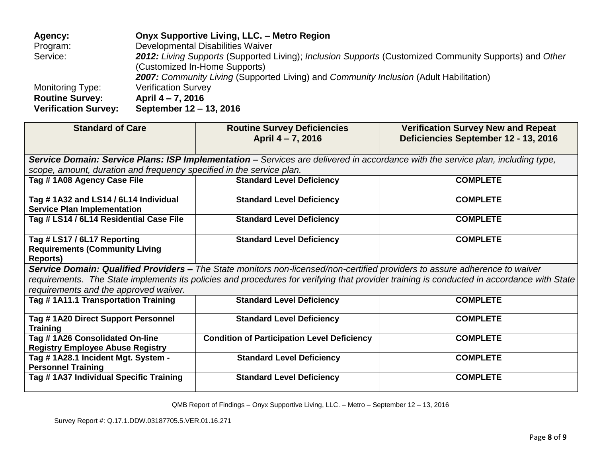| Agency:                     | Onyx Supportive Living, LLC. - Metro Region                                                            |
|-----------------------------|--------------------------------------------------------------------------------------------------------|
| Program:                    | Developmental Disabilities Waiver                                                                      |
| Service:                    | 2012: Living Supports (Supported Living); Inclusion Supports (Customized Community Supports) and Other |
|                             | (Customized In-Home Supports)                                                                          |
|                             | 2007: Community Living (Supported Living) and Community Inclusion (Adult Habilitation)                 |
| <b>Monitoring Type:</b>     | <b>Verification Survey</b>                                                                             |
| <b>Routine Survey:</b>      | April 4 – 7, 2016                                                                                      |
| <b>Verification Survey:</b> | September 12 - 13, 2016                                                                                |

| <b>Standard of Care</b>                                                                                                         | <b>Routine Survey Deficiencies</b><br>April 4 - 7, 2016                                                                     | <b>Verification Survey New and Repeat</b><br>Deficiencies September 12 - 13, 2016                                                         |  |  |  |  |
|---------------------------------------------------------------------------------------------------------------------------------|-----------------------------------------------------------------------------------------------------------------------------|-------------------------------------------------------------------------------------------------------------------------------------------|--|--|--|--|
| Service Domain: Service Plans: ISP Implementation – Services are delivered in accordance with the service plan, including type, |                                                                                                                             |                                                                                                                                           |  |  |  |  |
| scope, amount, duration and frequency specified in the service plan.                                                            |                                                                                                                             |                                                                                                                                           |  |  |  |  |
| Tag #1A08 Agency Case File                                                                                                      | <b>Standard Level Deficiency</b>                                                                                            | <b>COMPLETE</b>                                                                                                                           |  |  |  |  |
| Tag #1A32 and LS14 / 6L14 Individual<br><b>Service Plan Implementation</b>                                                      | <b>Standard Level Deficiency</b>                                                                                            | <b>COMPLETE</b>                                                                                                                           |  |  |  |  |
| Tag # LS14 / 6L14 Residential Case File                                                                                         | <b>Standard Level Deficiency</b>                                                                                            | <b>COMPLETE</b>                                                                                                                           |  |  |  |  |
| Tag # LS17 / 6L17 Reporting<br><b>Requirements (Community Living</b><br>Reports)                                                | <b>Standard Level Deficiency</b>                                                                                            | <b>COMPLETE</b>                                                                                                                           |  |  |  |  |
|                                                                                                                                 | Service Domain: Qualified Providers - The State monitors non-licensed/non-certified providers to assure adherence to waiver |                                                                                                                                           |  |  |  |  |
|                                                                                                                                 |                                                                                                                             | requirements. The State implements its policies and procedures for verifying that provider training is conducted in accordance with State |  |  |  |  |
| requirements and the approved waiver.                                                                                           |                                                                                                                             |                                                                                                                                           |  |  |  |  |
| Tag # 1A11.1 Transportation Training                                                                                            | <b>Standard Level Deficiency</b>                                                                                            | <b>COMPLETE</b>                                                                                                                           |  |  |  |  |
| Tag # 1A20 Direct Support Personnel<br><b>Training</b>                                                                          | <b>Standard Level Deficiency</b>                                                                                            | <b>COMPLETE</b>                                                                                                                           |  |  |  |  |
| Tag # 1A26 Consolidated On-line                                                                                                 | <b>Condition of Participation Level Deficiency</b>                                                                          | <b>COMPLETE</b>                                                                                                                           |  |  |  |  |
| <b>Registry Employee Abuse Registry</b>                                                                                         |                                                                                                                             |                                                                                                                                           |  |  |  |  |
| Tag # 1A28.1 Incident Mgt. System -<br><b>Personnel Training</b>                                                                | <b>Standard Level Deficiency</b>                                                                                            | <b>COMPLETE</b>                                                                                                                           |  |  |  |  |
| Tag # 1A37 Individual Specific Training                                                                                         | <b>Standard Level Deficiency</b>                                                                                            | <b>COMPLETE</b>                                                                                                                           |  |  |  |  |

QMB Report of Findings – Onyx Supportive Living, LLC. – Metro – September 12 – 13, 2016